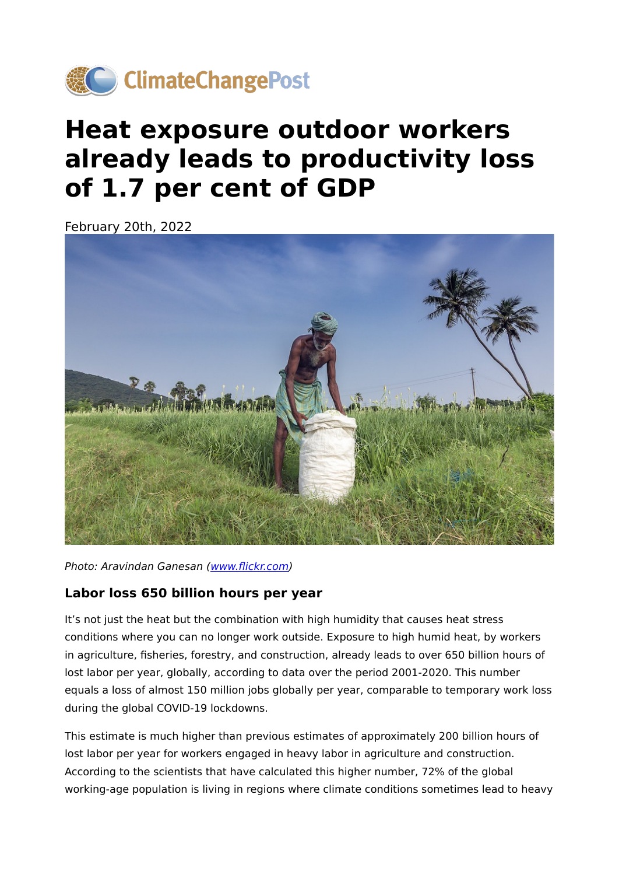

## **Heat exposure outdoor workers already leads to productivity loss of 1.7 per cent of GDP**

February 20th, 2022



Photo: Aravindan Ganesan (www.fl[ickr.com\)](https://flickr.com/photos/arvind7069/37853457986/in/photolist-ZEYSgm-7sysW5-rNRbMX-5otGRv-7pV8rb-7qafcq-5otNZc-2jyoBai-5oxXrf-9krttt-5otEEk-3ZbUm-7Eofq1-uQeErW-5otFqr-5hHPSN-qhS3sz-8PbQ4A-25oJ4Eq-5oxY97-aevPD4-5tLMeS-Rp1YVh-aeyiRE-gqerPw-6SUmeL-FNj1Gp-5qvF78-5tLM9w-25oJ6r1-3LyLx-FNj3sD-pvxSdk-5oxWEG-5du3bU-22GvS7J-bRan4K-7qafes-84qLzF-fFU917-22PhfkD-fFU9bG-fFBxLX-J4XG6-9jgAUE-fFU9eY-fFBxWX-fFBxSx-fFBxJT-fFBxHe)

## **Labor loss 650 billion hours per year**

It's not just the heat but the combination with high humidity that causes heat stress conditions where you can no longer work outside. Exposure to high humid heat, by workers in agriculture, fisheries, forestry, and construction, already leads to over 650 billion hours of lost labor per year, globally, according to data over the period 2001-2020. This number equals a loss of almost 150 million jobs globally per year, comparable to temporary work loss during the global COVID-19 lockdowns.

This estimate is much higher than previous estimates of approximately 200 billion hours of lost labor per year for workers engaged in heavy labor in agriculture and construction. According to the scientists that have calculated this higher number, 72% of the global working-age population is living in regions where climate conditions sometimes lead to heavy